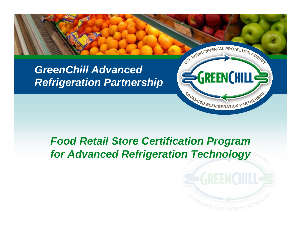

#### *Food Retail Store Certification Program for Advanced Refrigeration Technology*



NOVANCED REFRIGERATION PARTNERSHIP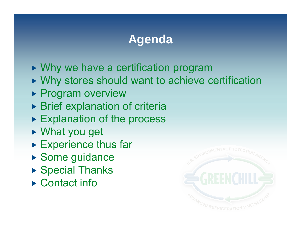# **Agenda**

- ▶ Why we have a certification program
- ▶ Why stores should want to achieve certification
- **Program overview**
- ▶ Brief explanation of criteria
- ► Explanation of the process
- ▶ What you get
- ▶ Experience thus far
- ▶ Some guidance
- ▶ Special Thanks
- ▶ Contact info

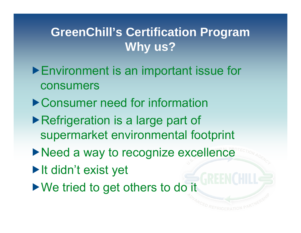## **GreenChill's Certification Program Why us?**

- ▶ Environment is an important issue for consumers
- ▶ Consumer need for information
- ▶Refrigeration is a large part of supermarket environmental footprint
- ▶Need a way to recognize excellence
- It didn't exist yet
- ▶ We tried to get others to do it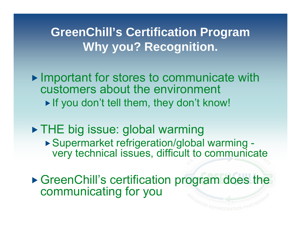#### **GreenChill's Certification Program Why you? Recognition.**

- ▶ Important for stores to communicate with customers about the environment If you don't tell them, they don't know!
- ▶ THE big issue: global warming Supermarket refrigeration/global warming very technical issues, difficult to communicate

▶ GreenChill's certification program does the communicating for you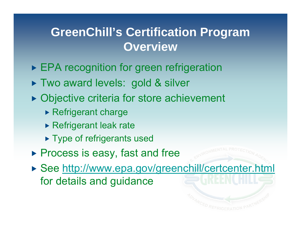#### **GreenChill's Certification Program Overview**

- ► EPA recognition for green refrigeration
- ▶ Two award levels: gold & silver
- ▶ Objective criteria for store achievement
	- ▶ Refrigerant charge
	- Refrigerant leak rate
	- ▶ Type of refrigerants used
- ▶ Process is easy, fast and free
- ▶ See http://www.epa.gov/greenchill/certcenter.html for details and guidance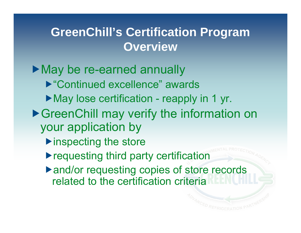#### **GreenChill's Certification Program Overview**

May be re-earned annually ▶ "Continued excellence" awards ▶ May lose certification - reapply in 1 yr. ▶GreenChill may verify the information on your application by  $\blacktriangleright$  inspecting the store ▶ requesting third party certification

▶ and/or requesting copies of store records related to the certification criteria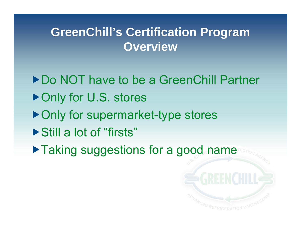#### **GreenChill's Certification Program Overview**

▶ Do NOT have to be a GreenChill Partner ▶ Only for U.S. stores ▶ Only for supermarket-type stores ▶ Still a lot of "firsts" ▶ Taking suggestions for a good name

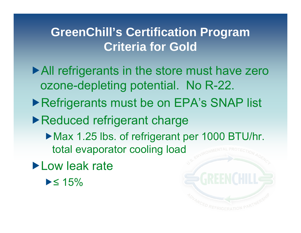#### **GreenChill's Certification Program Criteria for Gold**

- ▶ All refrigerants in the store must have zero ozone-depleting potential. No R-22.
- ▶ Refrigerants must be on EPA's SNAP list
- Reduced refrigerant charge
	- ▶ Max 1.25 lbs. of refrigerant per 1000 BTU/hr. total evaporator cooling load
- **Low leak rate** 
	- ≤ 15%

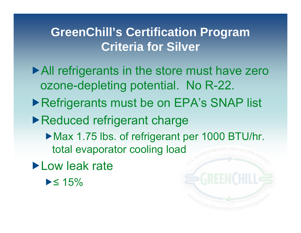## **GreenChill's Certification Program Criteria for Silver**

- ▶ All refrigerants in the store must have zero ozone-depleting potential. No R-22.
- ▶ Refrigerants must be on EPA's SNAP list
- ▶Reduced refrigerant charge
	- ▶ Max 1.75 lbs. of refrigerant per 1000 BTU/hr. total evaporator cooling load
- **Low leak rate** 
	- ≤ 15%

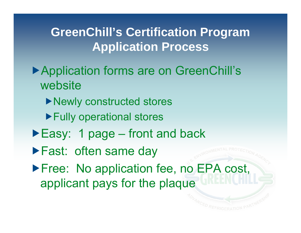## **GreenChill's Certification Program Application Process**

- ▶ Application forms are on GreenChill's website
	- ▶Newly constructed stores
	- ▶ Fully operational stores
- ▶ Easy: 1 page front and back
- **Fast: often same day**
- **Free: No application fee, no EPA cost,** applicant pays for the plaque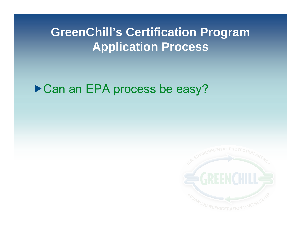#### **GreenChill's Certification Program Application Process**

▶ Can an EPA process be easy?

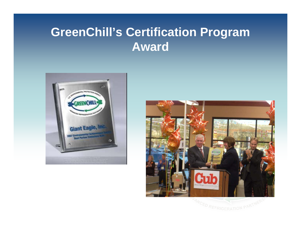## **GreenChill's Certification Program Award**



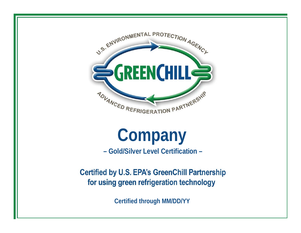

# **Company**

 **– Gold/Silver Level Certification –** 

**Certified by U.S. EPA's GreenChill Partnership** for using green refrigeration technology

**Certified through MM/DD/YY**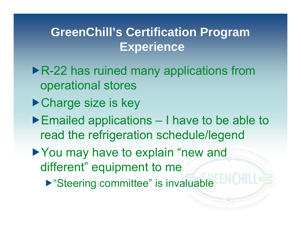#### **GreenChill's Certification Program Experience**

- ▶R-22 has ruined many applications from operational stores
- Charge size is key
- ▶ Emailed applications I have to be able to read the refrigeration schedule/legend
- ▶ You may have to explain "new and different" equipment to me
	- ▶ "Steering committee" is invaluable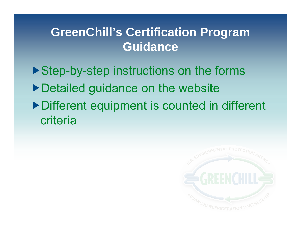#### **GreenChill's Certification Program Guidance**

▶ Step-by-step instructions on the forms ▶ Detailed guidance on the website ▶ Different equipment is counted in different criteria

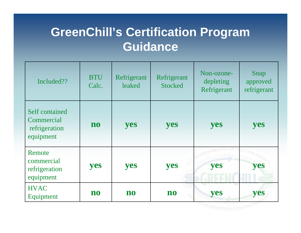#### **GreenChill's Certification Program Guidance**

| Included??                                                 | <b>BTU</b><br>Calc. | Refrigerant<br>leaked | Refrigerant<br><b>Stocked</b> | Non-ozone-<br>depleting<br>Refrigerant | Snap<br>approved<br>refrigerant |
|------------------------------------------------------------|---------------------|-----------------------|-------------------------------|----------------------------------------|---------------------------------|
| Self contained<br>Commercial<br>refrigeration<br>equipment | n <sub>0</sub>      | yes                   | yes                           | yes                                    | yes                             |
| Remote<br>commercial<br>refrigeration<br>equipment         | yes                 | yes                   | yes                           | yes                                    | yes                             |
| <b>HVAC</b><br>Equipment                                   | n <sub>0</sub>      | n <sub>0</sub>        | n <sub>0</sub>                | yes                                    | yes                             |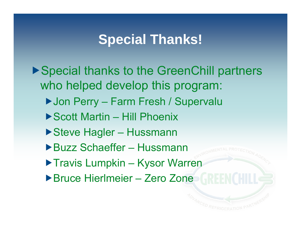## **Special Thanks!**

▶ Special thanks to the GreenChill partners who helped develop this program: ▶ Jon Perry – Farm Fresh / Supervalu ▶ Scott Martin – Hill Phoenix ▶ Steve Hagler – Hussmann ▶Buzz Schaeffer – Hussmann ▶ Travis Lumpkin – Kysor Warren ▶ Bruce Hierlmeier – Zero Zone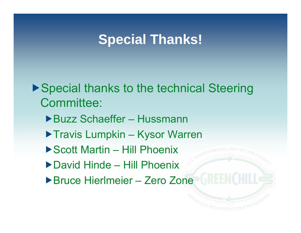# **Special Thanks!**

▶ Special thanks to the technical Steering Committee:

- Buzz Schaeffer Hussmann
- ▶ Travis Lumpkin Kysor Warren
- ▶ Scott Martin Hill Phoenix
- ▶ David Hinde Hill Phoenix
- ▶ Bruce Hierlmeier Zero Zone